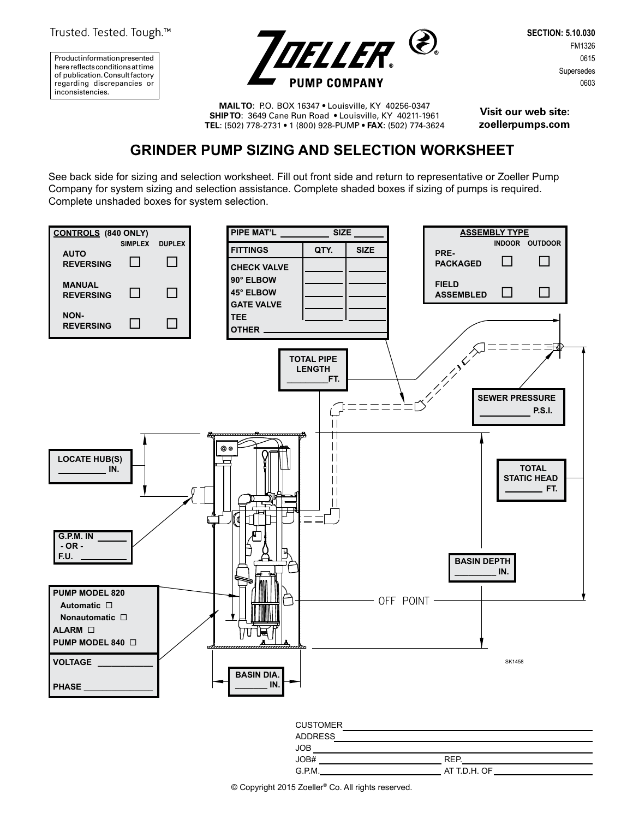Trusted. Tested. Tough.™

Product information presented here reflects conditions at time of publication. Consult factory regarding discrepancies or inconsistencies.



**SECTION: 5.10.030** FM1326 0615 Supersedes 0603

**MAIL TO**: P.O. BOX 16347 • Louisville, KY 40256-0347 **SHIP TO**: 3649 Cane Run Road • Louisville, KY 40211-1961 **TEL**: (502) 778-2731 • 1 (800) 928-PUMP • **FAX**: (502) 774-3624

**Visit our web site: zoellerpumps.com**

## **GRINDER PUMP SIZING AND SELECTION WORKSHEET**

See back side for sizing and selection worksheet. Fill out front side and return to representative or Zoeller Pump Company for system sizing and selection assistance. Complete shaded boxes if sizing of pumps is required. Complete unshaded boxes for system selection.